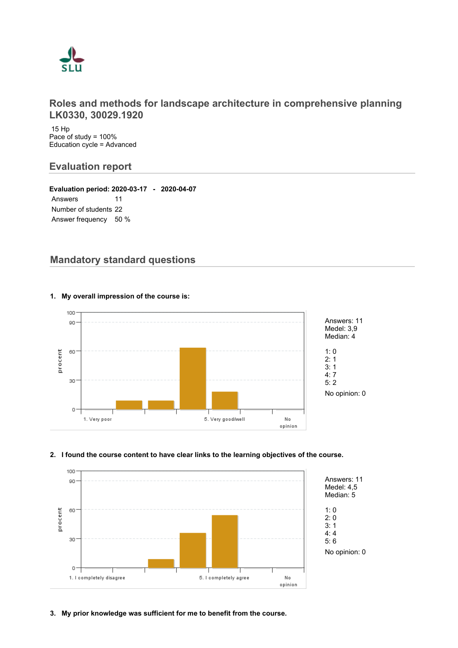

## **Roles and methods for landscape architecture in comprehensive planning LK0330, 30029.1920**

 15 Hp Pace of study = 100% Education cycle = Advanced

# **Evaluation report**

**Evaluation period: 2020-03-17 - 2020-04-07** Answers 11 Number of students 22 Answer frequency 50 %

# **Mandatory standard questions**



#### **1. My overall impression of the course is:**

#### **2. I found the course content to have clear links to the learning objectives of the course.**



**3. My prior knowledge was sufficient for me to benefit from the course.**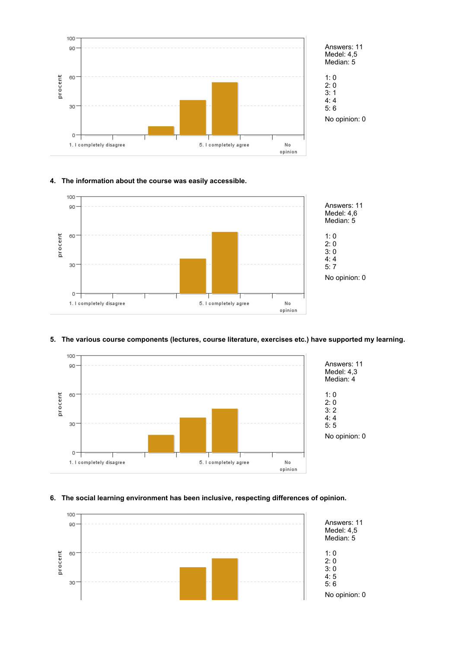



No opinion: 0

#### **4. The information about the course was easily accessible.**



#### **5. The various course components (lectures, course literature, exercises etc.) have supported my learning.**



#### **6. The social learning environment has been inclusive, respecting differences of opinion.**

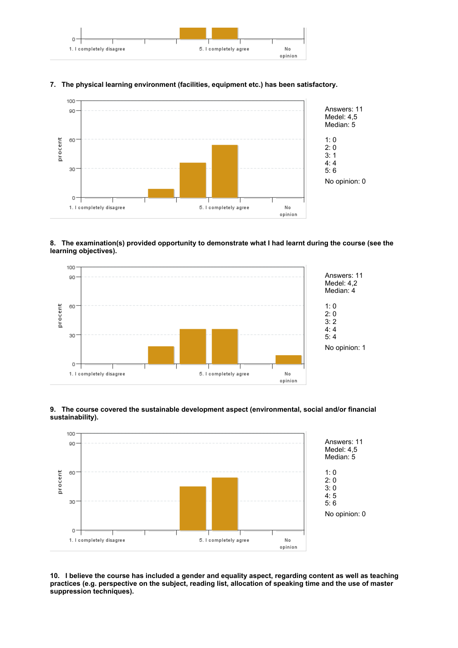

#### **7. The physical learning environment (facilities, equipment etc.) has been satisfactory.**



#### **8. The examination(s) provided opportunity to demonstrate what I had learnt during the course (see the learning objectives).**







**10. I believe the course has included a gender and equality aspect, regarding content as well as teaching practices (e.g. perspective on the subject, reading list, allocation of speaking time and the use of master suppression techniques).**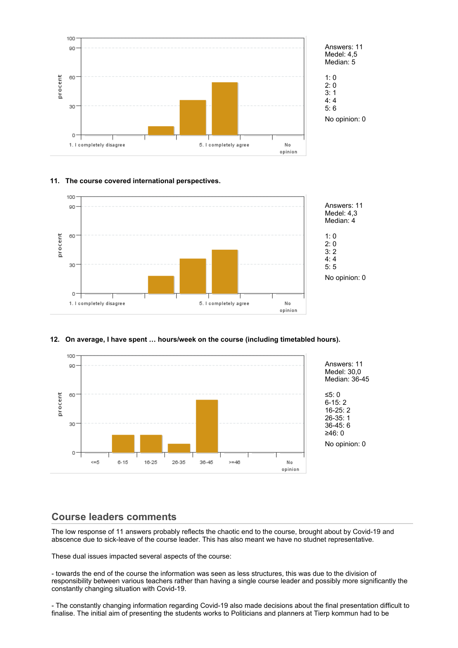



#### **11. The course covered international perspectives.**



#### **12. On average, I have spent … hours/week on the course (including timetabled hours).**



## **Course leaders comments**

The low response of 11 answers probably reflects the chaotic end to the course, brought about by Covid-19 and abscence due to sick-leave of the course leader. This has also meant we have no studnet representative.

These dual issues impacted several aspects of the course:

- towards the end of the course the information was seen as less structures, this was due to the division of responsibility between various teachers rather than having a single course leader and possibly more significantly the constantly changing situation with Covid-19.

- The constantly changing information regarding Covid-19 also made decisions about the final presentation difficult to finalise. The initial aim of presenting the students works to Politicians and planners at Tierp kommun had to be